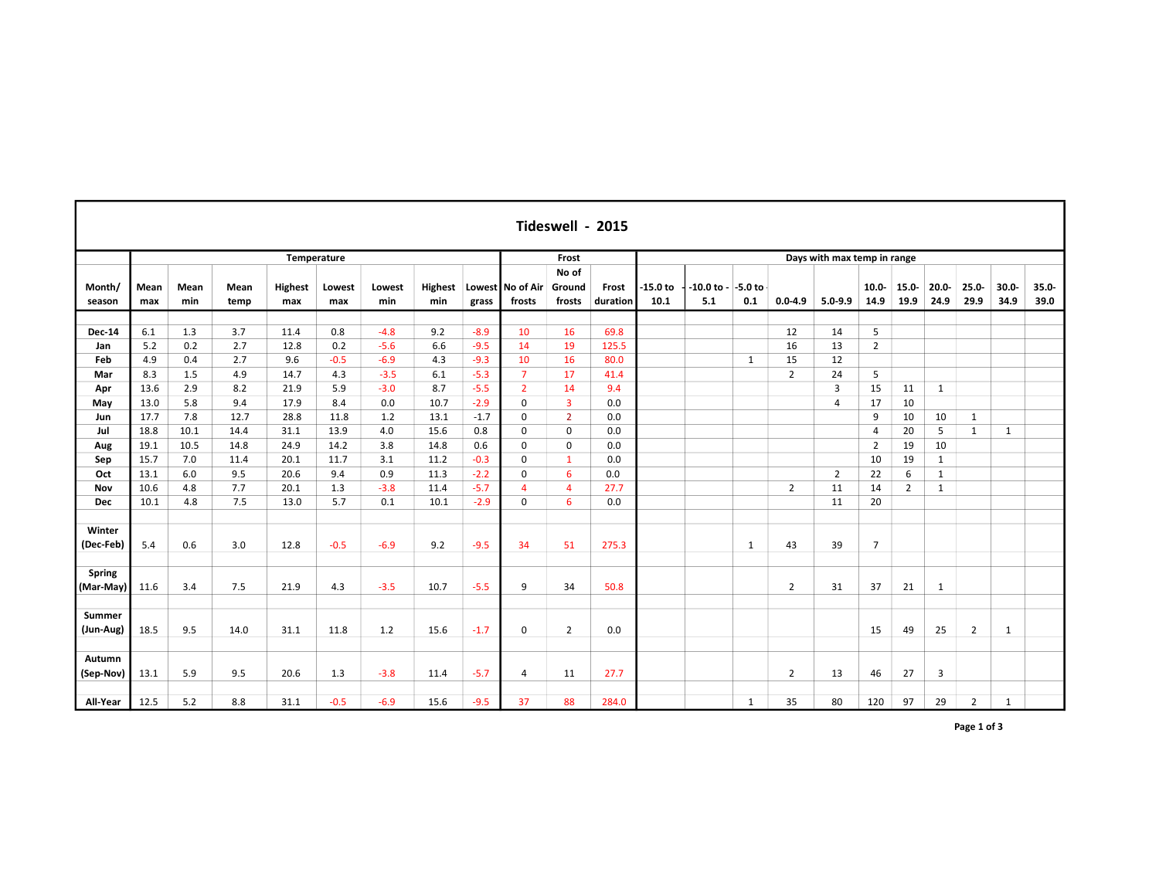| Tideswell - 2015    |             |             |              |                |               |               |                       |        |                            |                           |                   |                             |                              |              |                |                |                  |                  |                  |                  |                  |                  |  |
|---------------------|-------------|-------------|--------------|----------------|---------------|---------------|-----------------------|--------|----------------------------|---------------------------|-------------------|-----------------------------|------------------------------|--------------|----------------|----------------|------------------|------------------|------------------|------------------|------------------|------------------|--|
|                     | Temperature |             |              |                |               |               |                       |        |                            | Frost                     |                   | Days with max temp in range |                              |              |                |                |                  |                  |                  |                  |                  |                  |  |
| Month/<br>season    | Mean<br>max | Mean<br>min | Mean<br>temp | Highest<br>max | Lowest<br>max | Lowest<br>min | <b>Highest</b><br>min | grass  | Lowest No of Air<br>frosts | No of<br>Ground<br>frosts | Frost<br>duration | $-15.0$ to<br>10.1          | $-10.0$ to $ -5.0$ to<br>5.1 | 0.1          | $0.0 - 4.9$    | $5.0 - 9.9$    | $10.0 -$<br>14.9 | $15.0 -$<br>19.9 | $20.0 -$<br>24.9 | $25.0 -$<br>29.9 | $30.0 -$<br>34.9 | $35.0 -$<br>39.0 |  |
| <b>Dec-14</b>       | 6.1         | 1.3         | 3.7          | 11.4           | 0.8           | $-4.8$        | 9.2                   | $-8.9$ | 10                         | 16                        | 69.8              |                             |                              |              | 12             | 14             | 5                |                  |                  |                  |                  |                  |  |
| Jan                 | 5.2         | 0.2         | 2.7          | 12.8           | 0.2           | $-5.6$        | 6.6                   | $-9.5$ | 14                         | 19                        | 125.5             |                             |                              |              | 16             | 13             | $\overline{2}$   |                  |                  |                  |                  |                  |  |
| Feb                 | 4.9         | 0.4         | 2.7          | 9.6            | $-0.5$        | $-6.9$        | 4.3                   | $-9.3$ | 10                         | 16                        | 80.0              |                             |                              | $\mathbf{1}$ | 15             | 12             |                  |                  |                  |                  |                  |                  |  |
| Mar                 | 8.3         | 1.5         | 4.9          | 14.7           | 4.3           | $-3.5$        | 6.1                   | $-5.3$ | $\overline{7}$             | 17                        | 41.4              |                             |                              |              | $\overline{2}$ | 24             | 5                |                  |                  |                  |                  |                  |  |
| Apr                 | 13.6        | 2.9         | 8.2          | 21.9           | 5.9           | $-3.0$        | 8.7                   | $-5.5$ | $\overline{2}$             | 14                        | 9.4               |                             |                              |              |                | 3              | 15               | 11               | $\mathbf{1}$     |                  |                  |                  |  |
| May                 | 13.0        | 5.8         | 9.4          | 17.9           | 8.4           | 0.0           | 10.7                  | $-2.9$ | $\mathbf 0$                | $\overline{\mathbf{3}}$   | 0.0               |                             |                              |              |                | $\overline{4}$ | 17               | 10               |                  |                  |                  |                  |  |
| Jun                 | 17.7        | 7.8         | 12.7         | 28.8           | 11.8          | 1.2           | 13.1                  | $-1.7$ | 0                          | $\overline{2}$            | 0.0               |                             |                              |              |                |                | 9                | 10               | 10               | $\mathbf{1}$     |                  |                  |  |
| Jul                 | 18.8        | 10.1        | 14.4         | 31.1           | 13.9          | 4.0           | 15.6                  | 0.8    | 0                          | $\mathbf 0$               | 0.0               |                             |                              |              |                |                | 4                | 20               | 5                | $\mathbf{1}$     | 1                |                  |  |
| Aug                 | 19.1        | 10.5        | 14.8         | 24.9           | 14.2          | 3.8           | 14.8                  | 0.6    | $\mathbf 0$                | $\mathbf 0$               | 0.0               |                             |                              |              |                |                | $\overline{2}$   | 19               | 10               |                  |                  |                  |  |
| Sep                 | 15.7        | 7.0         | 11.4         | 20.1           | 11.7          | 3.1           | 11.2                  | $-0.3$ | 0                          | $\mathbf{1}$              | 0.0               |                             |                              |              |                |                | 10               | 19               | $\mathbf{1}$     |                  |                  |                  |  |
| Oct                 | 13.1        | 6.0         | 9.5          | 20.6           | 9.4           | 0.9           | 11.3                  | $-2.2$ | 0                          | 6                         | 0.0               |                             |                              |              |                | $\overline{2}$ | 22               | 6                | $\mathbf{1}$     |                  |                  |                  |  |
| Nov                 | 10.6        | 4.8         | 7.7          | 20.1           | 1.3           | $-3.8$        | 11.4                  | $-5.7$ | $\boldsymbol{\Delta}$      | $\overline{4}$            | 27.7              |                             |                              |              | $\overline{2}$ | 11             | 14               | $\overline{2}$   | $\mathbf{1}$     |                  |                  |                  |  |
| <b>Dec</b>          | 10.1        | 4.8         | 7.5          | 13.0           | 5.7           | 0.1           | 10.1                  | $-2.9$ | 0                          | 6                         | 0.0               |                             |                              |              |                | 11             | 20               |                  |                  |                  |                  |                  |  |
|                     |             |             |              |                |               |               |                       |        |                            |                           |                   |                             |                              |              |                |                |                  |                  |                  |                  |                  |                  |  |
| Winter<br>(Dec-Feb) | 5.4         | 0.6         | 3.0          | 12.8           | $-0.5$        | $-6.9$        | 9.2                   | $-9.5$ | 34                         | 51                        | 275.3             |                             |                              | $\mathbf{1}$ | 43             | 39             | $\overline{7}$   |                  |                  |                  |                  |                  |  |
| Spring<br>(Mar-May) | 11.6        | 3.4         | 7.5          | 21.9           | 4.3           | $-3.5$        | 10.7                  | $-5.5$ | 9                          | 34                        | 50.8              |                             |                              |              | $\overline{2}$ | 31             | 37               | 21               | $\mathbf{1}$     |                  |                  |                  |  |
|                     |             |             |              |                |               |               |                       |        |                            |                           |                   |                             |                              |              |                |                |                  |                  |                  |                  |                  |                  |  |
| Summer<br>(Jun-Aug) | 18.5        | 9.5         | 14.0         | 31.1           | 11.8          | 1.2           | 15.6                  | $-1.7$ | 0                          | $\overline{2}$            | 0.0               |                             |                              |              |                |                | 15               | 49               | 25               | $\overline{2}$   | 1                |                  |  |
|                     |             |             |              |                |               |               |                       |        |                            |                           |                   |                             |                              |              |                |                |                  |                  |                  |                  |                  |                  |  |
| Autumn<br>(Sep-Nov) | 13.1        | 5.9         | 9.5          | 20.6           | 1.3           | $-3.8$        | 11.4                  | $-5.7$ | 4                          | 11                        | 27.7              |                             |                              |              | $\overline{2}$ | 13             | 46               | 27               | 3                |                  |                  |                  |  |
| All-Year            | 12.5        | 5.2         | 8.8          | 31.1           | $-0.5$        | $-6.9$        | 15.6                  | $-9.5$ | 37                         | 88                        | 284.0             |                             |                              | $\mathbf{1}$ | 35             | 80             | 120              | 97               | 29               | $\overline{2}$   | $\mathbf{1}$     |                  |  |

г

Page 1 of 3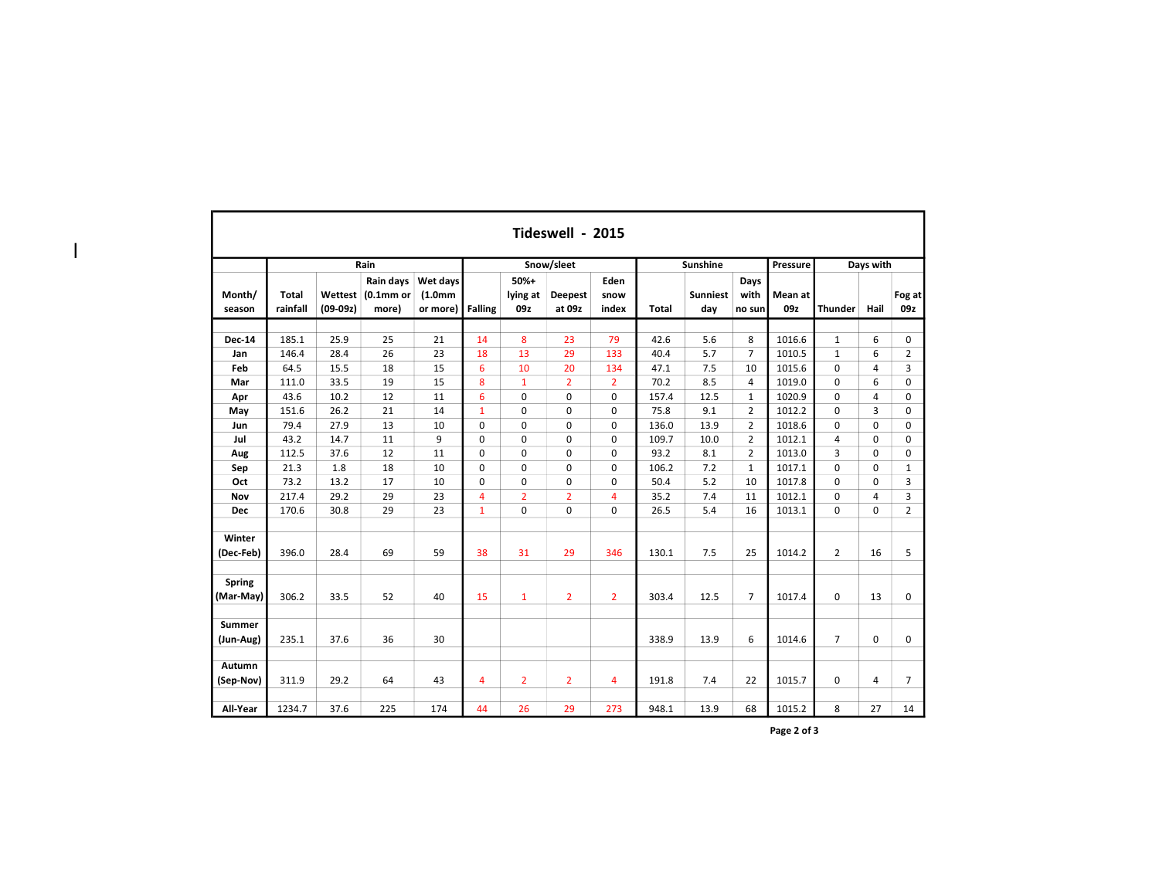|                            | Tideswell - 2015         |                       |                                            |                                              |                |                           |                          |                       |              |                        |                        |                |                |             |                |  |  |
|----------------------------|--------------------------|-----------------------|--------------------------------------------|----------------------------------------------|----------------|---------------------------|--------------------------|-----------------------|--------------|------------------------|------------------------|----------------|----------------|-------------|----------------|--|--|
|                            |                          |                       | Rain                                       |                                              |                |                           | Snow/sleet               |                       |              | Sunshine               |                        | Pressure       |                | Days with   |                |  |  |
| Month/<br>season           | <b>Total</b><br>rainfall | Wettest<br>$(09-09z)$ | Rain days<br>(0.1 <sub>mm</sub> )<br>more) | Wet days<br>(1.0 <sub>mm</sub> )<br>or more) | <b>Falling</b> | $50%+$<br>lying at<br>09z | <b>Deepest</b><br>at 09z | Eden<br>snow<br>index | <b>Total</b> | <b>Sunniest</b><br>day | Days<br>with<br>no sun | Mean at<br>09z | <b>Thunder</b> | Hail        | Fog at<br>09z  |  |  |
| <b>Dec-14</b>              | 185.1                    | 25.9                  | 25                                         | 21                                           | 14             | 8                         | 23                       | 79                    | 42.6         | 5.6                    | 8                      | 1016.6         | $\mathbf{1}$   | 6           | 0              |  |  |
| Jan                        | 146.4                    | 28.4                  | 26                                         | 23                                           | 18             | 13                        | 29                       | 133                   | 40.4         | 5.7                    | $\overline{7}$         | 1010.5         | $\mathbf{1}$   | 6           | $\overline{2}$ |  |  |
| Feb                        | 64.5                     | 15.5                  | 18                                         | 15                                           | 6              | 10                        | 20                       | 134                   | 47.1         | 7.5                    | 10                     | 1015.6         | $\mathbf 0$    | 4           | 3              |  |  |
| Mar                        | 111.0                    | 33.5                  | 19                                         | 15                                           | 8              | $\mathbf{1}$              | $\overline{2}$           | $\overline{2}$        | 70.2         | 8.5                    | 4                      | 1019.0         | 0              | 6           | 0              |  |  |
| Apr                        | 43.6                     | 10.2                  | 12                                         | 11                                           | 6              | $\mathbf{0}$              | $\mathbf 0$              | 0                     | 157.4        | 12.5                   | $\mathbf{1}$           | 1020.9         | 0              | 4           | 0              |  |  |
| May                        | 151.6                    | 26.2                  | 21                                         | 14                                           | $\mathbf{1}$   | $\mathbf{0}$              | $\mathbf 0$              | 0                     | 75.8         | 9.1                    | $\overline{2}$         | 1012.2         | $\Omega$       | 3           | 0              |  |  |
| Jun                        | 79.4                     | 27.9                  | 13                                         | 10                                           | $\mathbf 0$    | $\mathbf{0}$              | $\mathbf 0$              | 0                     | 136.0        | 13.9                   | $\overline{2}$         | 1018.6         | $\mathbf 0$    | $\Omega$    | 0              |  |  |
| Jul                        | 43.2                     | 14.7                  | 11                                         | 9                                            | $\mathbf 0$    | $\mathbf 0$               | $\mathbf 0$              | 0                     | 109.7        | 10.0                   | $\overline{2}$         | 1012.1         | $\overline{4}$ | $\Omega$    | 0              |  |  |
| Aug                        | 112.5                    | 37.6                  | 12                                         | 11                                           | $\mathbf 0$    | $\Omega$                  | $\mathbf 0$              | $\mathbf 0$           | 93.2         | 8.1                    | $\overline{2}$         | 1013.0         | 3              | $\Omega$    | 0              |  |  |
| Sep                        | 21.3                     | 1.8                   | 18                                         | 10                                           | $\mathbf 0$    | $\mathbf 0$               | $\mathbf 0$              | 0                     | 106.2        | 7.2                    | $\mathbf{1}$           | 1017.1         | $\mathbf 0$    | $\Omega$    | $\mathbf{1}$   |  |  |
| Oct                        | 73.2                     | 13.2                  | 17                                         | 10                                           | $\mathbf 0$    | $\mathbf 0$               | $\mathbf 0$              | 0                     | 50.4         | 5.2                    | 10                     | 1017.8         | 0              | $\Omega$    | 3              |  |  |
| Nov                        | 217.4                    | 29.2                  | 29                                         | 23                                           | 4              | $\overline{2}$            | $\overline{2}$           | 4                     | 35.2         | 7.4                    | 11                     | 1012.1         | $\mathbf 0$    | 4           | 3              |  |  |
| <b>Dec</b>                 | 170.6                    | 30.8                  | 29                                         | 23                                           | $\mathbf{1}$   | $\mathbf 0$               | $\mathbf 0$              | 0                     | 26.5         | 5.4                    | 16                     | 1013.1         | 0              | $\Omega$    | $\overline{2}$ |  |  |
| Winter                     |                          |                       |                                            |                                              |                |                           |                          |                       |              |                        |                        |                |                |             |                |  |  |
| (Dec-Feb)                  | 396.0                    | 28.4                  | 69                                         | 59                                           | 38             | 31                        | 29                       | 346                   | 130.1        | 7.5                    | 25                     | 1014.2         | $\overline{2}$ | 16          | 5              |  |  |
| <b>Spring</b><br>(Mar-May) | 306.2                    | 33.5                  | 52                                         | 40                                           | 15             | $\mathbf{1}$              | $\overline{2}$           | $\overline{2}$        | 303.4        | 12.5                   | $\overline{7}$         | 1017.4         | 0              | 13          | 0              |  |  |
| Summer                     |                          |                       |                                            |                                              |                |                           |                          |                       |              |                        |                        |                |                |             |                |  |  |
| (Jun-Aug)                  | 235.1                    | 37.6                  | 36                                         | 30                                           |                |                           |                          |                       | 338.9        | 13.9                   | 6                      | 1014.6         | $\overline{7}$ | $\mathbf 0$ | 0              |  |  |
| Autumn<br>(Sep-Nov)        | 311.9                    | 29.2                  | 64                                         | 43                                           | 4              | $\overline{2}$            | $\overline{2}$           | 4                     | 191.8        | 7.4                    | 22                     | 1015.7         | 0              | 4           | $\overline{7}$ |  |  |
| All-Year                   | 1234.7                   | 37.6                  | 225                                        | 174                                          | 44             | 26                        | 29                       | 273                   | 948.1        | 13.9                   | 68                     | 1015.2         | 8              | 27          | 14             |  |  |

 $\overline{\phantom{a}}$ 

Page 2 of 3